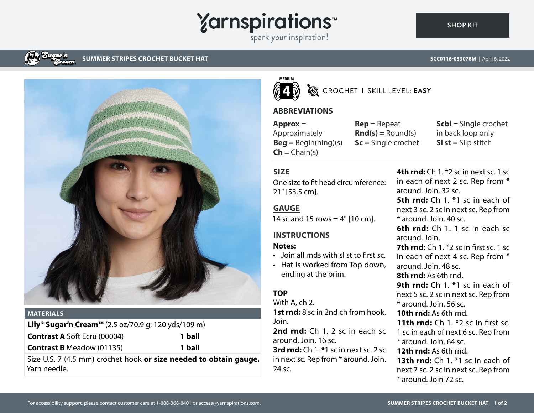# **Yarnspirations**

spark your inspiration!

#### **SUMMER STRIPES CROCHET BUCKET HAT**



#### **MATERIALS**

| <b>Lily<sup>®</sup> Sugar'n Cream™</b> (2.5 oz/70.9 g; 120 yds/109 m) |        |
|-----------------------------------------------------------------------|--------|
| <b>Contrast A Soft Ecru (00004)</b>                                   | 1 ball |
| <b>Contrast B</b> Meadow (01135)                                      | 1 ball |

Size U.S. 7 (4.5 mm) crochet hook **or size needed to obtain gauge.** Yarn needle.



# **B** CROCHET I SKILL LEVEL: EASY

### **ABBREVIATIONS**

**Approx** = Approximately  $\textbf{Beg} = \text{Begin}(ning)(s)$  $\mathsf{Ch} = \mathsf{Chain}(s)$ 

**Rep** = Repeat  $\mathbf{Rnd}(s) = \text{Round}(s)$ **Sc** = Single crochet **Scbl** = Single crochet in back loop only **SI st** = Slip stitch

# **SIZE**

One size to fit head circumference: 21" [53.5 cm].

**GAUGE**

14 sc and 15 rows  $=$  4" [10 cm].

# **INSTRUCTIONS**

#### **Notes:**

- Join all rnds with sl st to first sc.
- Hat is worked from Top down, ending at the brim.

# **TOP**

With A, ch 2.

**1st rnd:** 8 sc in 2nd ch from hook. Join.

**2nd rnd:** Ch 1. 2 sc in each sc around. Join. 16 sc. **3rd rnd:** Ch 1. \*1 sc in next sc. 2 sc in next sc. Rep from \* around. Join.  $24$  sc.

**4th rnd:** Ch 1. \*2 sc in next sc. 1 sc in each of next 2 sc. Rep from \* around. Join. 32 sc. **5th rnd:** Ch 1. \*1 sc in each of next 3 sc. 2 sc in next sc. Rep from \* around. Join. 40 sc. **6th rnd:** Ch 1. 1 sc in each sc around. Join. **7th rnd:** Ch 1. <sup>\*</sup>2 sc in first sc. 1 sc. in each of next 4 sc. Rep from \* around. Join. 48 sc. **8th rnd:** As 6th rnd. **9th rnd:** Ch 1. \*1 sc in each of next 5 sc. 2 sc in next sc. Rep from \* around. Join. 56 sc. **10th rnd:** As 6th rnd. **11th rnd:** Ch 1. \*2 sc in first sc. 1 sc in each of next 6 sc. Rep from \* around. Join. 64 sc. **12th rnd:** As 6th rnd. **13th rnd:** Ch 1. \*1 sc in each of next 7 sc. 2 sc in next sc. Rep from \* around. Join 72 sc.